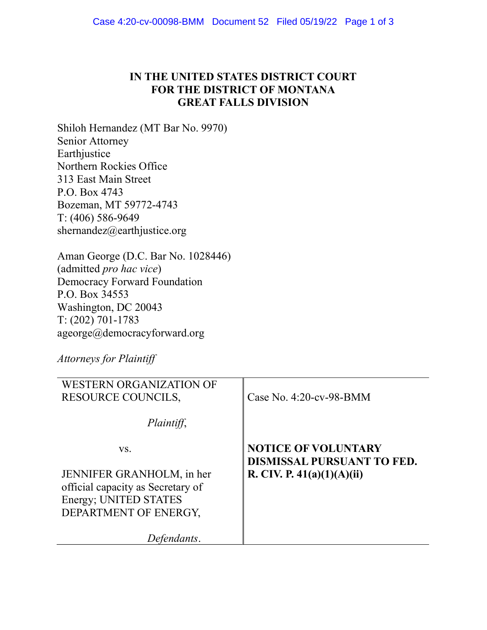## IN THE UNITED STATES DISTRICT COURT FOR THE DISTRICT OF MONTANA GREAT FALLS DIVISION

Shiloh Hernandez (MT Bar No. 9970) Senior Attorney Earthjustice Northern Rockies Office 313 East Main Street P.O. Box 4743 Bozeman, MT 59772-4743 T: (406) 586-9649 shernandez@earthjustice.org

Aman George (D.C. Bar No. 1028446) (admitted pro hac vice) Democracy Forward Foundation P.O. Box 34553 Washington, DC 20043 T: (202) 701-1783 ageorge@democracyforward.org

Attorneys for Plaintiff

| WESTERN ORGANIZATION OF<br><b>RESOURCE COUNCILS,</b>           | Case No. $4:20$ -cv-98-BMM                               |
|----------------------------------------------------------------|----------------------------------------------------------|
| Plaintiff,                                                     |                                                          |
| VS.                                                            | <b>NOTICE OF VOLUNTARY</b><br>DISMISSAL PURSUANT TO FED. |
| JENNIFER GRANHOLM, in her<br>official capacity as Secretary of | R. CIV. P. $41(a)(1)(A)(ii)$                             |
| Energy; UNITED STATES<br>DEPARTMENT OF ENERGY,                 |                                                          |
| fendants.                                                      |                                                          |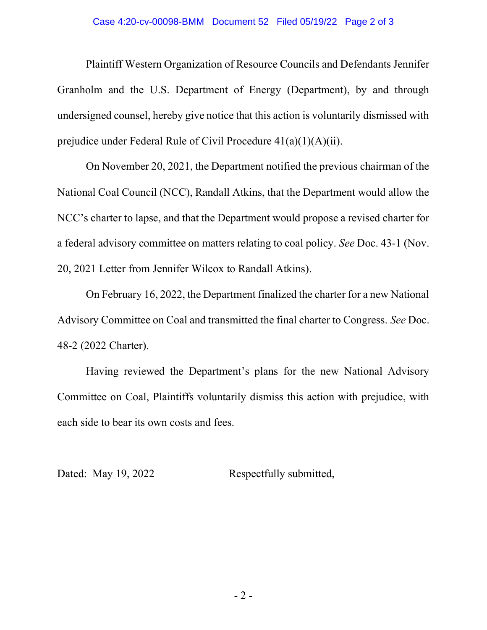## Case 4:20-cv-00098-BMM Document 52 Filed 05/19/22 Page 2 of 3

Plaintiff Western Organization of Resource Councils and Defendants Jennifer Granholm and the U.S. Department of Energy (Department), by and through undersigned counsel, hereby give notice that this action is voluntarily dismissed with prejudice under Federal Rule of Civil Procedure 41(a)(1)(A)(ii).

On November 20, 2021, the Department notified the previous chairman of the National Coal Council (NCC), Randall Atkins, that the Department would allow the NCC's charter to lapse, and that the Department would propose a revised charter for a federal advisory committee on matters relating to coal policy. See Doc. 43-1 (Nov. 20, 2021 Letter from Jennifer Wilcox to Randall Atkins).

On February 16, 2022, the Department finalized the charter for a new National Advisory Committee on Coal and transmitted the final charter to Congress. See Doc. 48-2 (2022 Charter).

Having reviewed the Department's plans for the new National Advisory Committee on Coal, Plaintiffs voluntarily dismiss this action with prejudice, with each side to bear its own costs and fees.

Dated: May 19, 2022 Respectfully submitted,